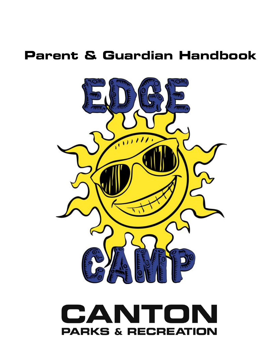# **Parent & Guardian Handbook**



### $\blacktriangle$ CAN n  $\Box$ **PARKS & RECREATION**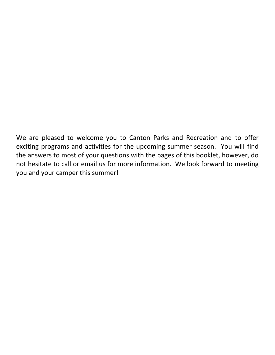We are pleased to welcome you to Canton Parks and Recreation and to offer exciting programs and activities for the upcoming summer season. You will find the answers to most of your questions with the pages of this booklet, however, do not hesitate to call or email us for more information. We look forward to meeting you and your camper this summer!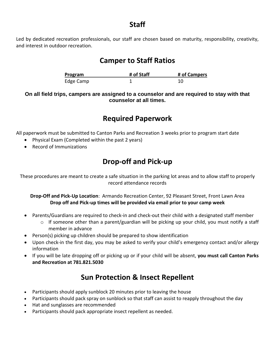### **Staff**

Led by dedicated recreation professionals, our staff are chosen based on maturity, responsibility, creativity, and interest in outdoor recreation.

### **Camper to Staff Ratios**

| Program   | # of Staff | # of Campers |
|-----------|------------|--------------|
| Edge Camp |            |              |

**On all field trips, campers are assigned to a counselor and are required to stay with that counselor at all times.**

# **Required Paperwork**

All paperwork must be submitted to Canton Parks and Recreation 3 weeks prior to program start date

- Physical Exam (Completed within the past 2 years)
- Record of Immunizations

# **Drop-off and Pick-up**

These procedures are meant to create a safe situation in the parking lot areas and to allow staff to properly record attendance records

**Drop-Off and Pick-Up Location**: Armando Recreation Center, 92 Pleasant Street, Front Lawn Area **Drop off and Pick-up times will be provided via email prior to your camp week**

- Parents/Guardians are required to check-in and check-out their child with a designated staff member
	- $\circ$  If someone other than a parent/guardian will be picking up your child, you must notify a staff member in advance
- Person(s) picking up children should be prepared to show identification
- Upon check-in the first day, you may be asked to verify your child's emergency contact and/or allergy information
- If you will be late dropping off or picking up or if your child will be absent, **you must call Canton Parks and Recreation at 781.821.5030**

# **Sun Protection & Insect Repellent**

- Participants should apply sunblock 20 minutes prior to leaving the house
- Participants should pack spray on sunblock so that staff can assist to reapply throughout the day
- Hat and sunglasses are recommended
- Participants should pack appropriate insect repellent as needed.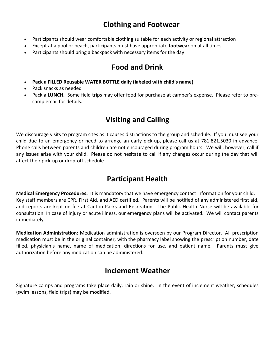# **Clothing and Footwear**

- Participants should wear comfortable clothing suitable for each activity or regional attraction
- Except at a pool or beach, participants must have appropriate **footwear** on at all times.
- Participants should bring a backpack with necessary items for the day

# **Food and Drink**

- **Pack a FILLED Reusable WATER BOTTLE daily (labeled with child's name)**
- Pack snacks as needed
- Pack a **LUNCH.** Some field trips may offer food for purchase at camper's expense. Please refer to precamp email for details.

# **Visiting and Calling**

We discourage visits to program sites as it causes distractions to the group and schedule. If you must see your child due to an emergency or need to arrange an early pick-up, please call us at 781.821.5030 in advance. Phone calls between parents and children are not encouraged during program hours. We will, however, call if any issues arise with your child. Please do not hesitate to call if any changes occur during the day that will affect their pick-up or drop-off schedule.

# **Participant Health**

**Medical Emergency Procedures:** It is mandatory that we have emergency contact information for your child. Key staff members are CPR, First Aid, and AED certified. Parents will be notified of any administered first aid, and reports are kept on file at Canton Parks and Recreation. The Public Health Nurse will be available for consultation. In case of injury or acute illness, our emergency plans will be activated. We will contact parents immediately.

**Medication Administration:** Medication administration is overseen by our Program Director. All prescription medication must be in the original container, with the pharmacy label showing the prescription number, date filled, physician's name, name of medication, directions for use, and patient name. Parents must give authorization before any medication can be administered.

### **Inclement Weather**

Signature camps and programs take place daily, rain or shine. In the event of inclement weather, schedules (swim lessons, field trips) may be modified.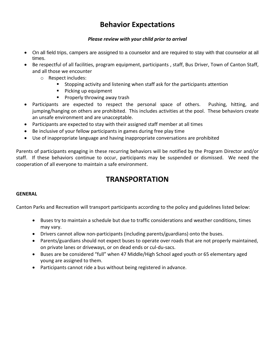# **Behavior Expectations**

#### *Please review with your child prior to arrival*

- On all field trips, campers are assigned to a counselor and are required to stay with that counselor at all times.
- Be respectful of all facilities, program equipment, participants , staff, Bus Driver, Town of Canton Staff, and all those we encounter
	- o Respect includes:
		- Stopping activity and listening when staff ask for the participants attention
		- **Picking up equipment**
		- **Properly throwing away trash**
- Participants are expected to respect the personal space of others. Pushing, hitting, and jumping/hanging on others are prohibited. This includes activities at the pool. These behaviors create an unsafe environment and are unacceptable.
- Participants are expected to stay with their assigned staff member at all times
- Be inclusive of your fellow participants in games during free play time
- Use of inappropriate language and having inappropriate conversations are prohibited

Parents of participants engaging in these recurring behaviors will be notified by the Program Director and/or staff. If these behaviors continue to occur, participants may be suspended or dismissed. We need the cooperation of all everyone to maintain a safe environment.

# **TRANSPORTATION**

### **GENERAL**

Canton Parks and Recreation will transport participants according to the policy and guidelines listed below:

- Buses try to maintain a schedule but due to traffic considerations and weather conditions, times may vary.
- Drivers cannot allow non-participants (including parents/guardians) onto the buses.
- Parents/guardians should not expect buses to operate over roads that are not properly maintained, on private lanes or driveways, or on dead ends or cul-du-sacs.
- Buses are be considered "full" when 47 Middle/High School aged youth or 65 elementary aged young are assigned to them.
- Participants cannot ride a bus without being registered in advance.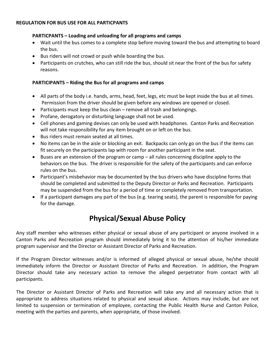#### **REGULATION FOR BUS USE FOR ALL PARTICPANTS**

#### **PARTICPANTS – Loading and unloading for all programs and camps**

- Wait until the bus comes to a complete stop before moving toward the bus and attempting to board the bus.
- Bus riders will not crowd or push while boarding the bus.
- Participants on crutches, who can still ride the bus, should sit near the front of the bus for safety reasons.

#### **PARTICIPANTS – Riding the Bus for all programs and camps**

- All parts of the body i.e. hands, arms, head, feet, legs, etc must be kept inside the bus at all times. Permission from the driver should be given before any windows are opened or closed.
- $\bullet$  Participants must keep the bus clean remove all trash and belongings.
- Profane, derogatory or disturbing language shall not be used.
- Cell phones and gaming devises can only be used with headphones. Canton Parks and Recreation will not take responsibility for any item brought on or left on the bus.
- Bus riders must remain seated at all times.
- No items can be in the aisle or blocking an exit. Backpacks can only go on the bus if the items can fit securely on the participants lap with room for another participant in the seat.
- Buses are an extension of the program or camp all rules concerning discipline apply to the behaviors on the bus. The driver is responsible for the safety of the participants and can enforce rules on the bus.
- Participant's misbehavior may be documented by the bus drivers who have discipline forms that should be completed and submitted to the Deputy Director or Parks and Recreation. Participants may be suspended from the bus for a period of time or completely removed from transportation.
- If a participant damages any part of the bus (e.g. tearing seats), the parent is responsible for paying for the damage.

# **Physical/Sexual Abuse Policy**

Any staff member who witnesses either physical or sexual abuse of any participant or anyone involved in a Canton Parks and Recreation program should immediately bring it to the attention of his/her immediate program supervisor and the Director or Assistant Director of Parks and Recreation.

If the Program Director witnesses and/or is informed of alleged physical or sexual abuse, he/she should immediately inform the Director or Assistant Director of Parks and Recreation. In addition, the Program Director should take any necessary action to remove the alleged perpetrator from contact with all participants.

The Director or Assistant Director of Parks and Recreation will take any and all necessary action that is appropriate to address situations related to physical and sexual abuse. Actions may include, but are not limited to suspension or termination of employee, contacting the Public Health Nurse and Canton Police, meeting with the parties and parents, when appropriate, of those involved.